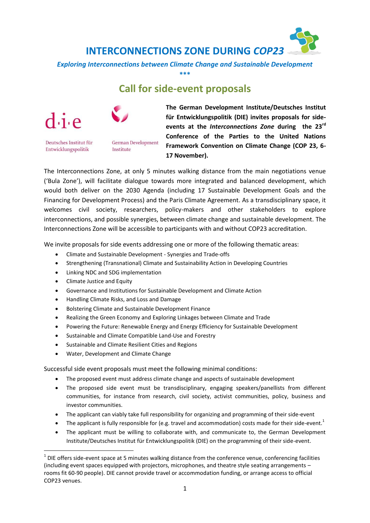

**\*\*\***

## **Call for side-event proposals**





Deutsches Institut für Entwicklungspolitik

German Development Institute

**The German Development Institute/Deutsches Institut für Entwicklungspolitik (DIE) invites proposals for sideevents at the** *Interconnections Zone* **during the 23rd Conference of the Parties to the United Nations Framework Convention on Climate Change (COP 23, 6- 17 November).**

The Interconnections Zone, at only 5 minutes walking distance from the main negotiations venue ('Bula Zone'), will facilitate dialogue towards more integrated and balanced development, which would both deliver on the 2030 Agenda (including 17 Sustainable Development Goals and the Financing for Development Process) and the Paris Climate Agreement. As a transdisciplinary space, it welcomes civil society, researchers, policy-makers and other stakeholders to explore interconnections, and possible synergies, between climate change and sustainable development. The Interconnections Zone will be accessible to participants with and without COP23 accreditation.

We invite proposals for side events addressing one or more of the following thematic areas:

- Climate and Sustainable Development Synergies and Trade-offs
- Strengthening (Transnational) Climate and Sustainability Action in Developing Countries
- Linking NDC and SDG implementation
- Climate Justice and Equity

**.** 

- Governance and Institutions for Sustainable Development and Climate Action
- Handling Climate Risks, and Loss and Damage
- Bolstering Climate and Sustainable Development Finance
- Realizing the Green Economy and Exploring Linkages between Climate and Trade
- Powering the Future: Renewable Energy and Energy Efficiency for Sustainable Development
- Sustainable and Climate Compatible Land-Use and Forestry
- Sustainable and Climate Resilient Cities and Regions
- Water, Development and Climate Change

Successful side event proposals must meet the following minimal conditions:

- The proposed event must address climate change and aspects of sustainable development
- The proposed side event must be transdisciplinary, engaging speakers/panellists from different communities, for instance from research, civil society, activist communities, policy, business and investor communities.
- The applicant can viably take full responsibility for organizing and programming of their side-event
- The applicant is fully responsible for (e.g. travel and accommodation) costs made for their side-event.<sup>1</sup>
- The applicant must be willing to collaborate with, and communicate to, the German Development Institute/Deutsches Institut für Entwicklungspolitik (DIE) on the programming of their side-event.

 $1$  DIE offers side-event space at 5 minutes walking distance from the conference venue, conferencing facilities (including event spaces equipped with projectors, microphones, and theatre style seating arrangements – rooms fit 60-90 people). DIE cannot provide travel or accommodation funding, or arrange access to official COP23 venues.